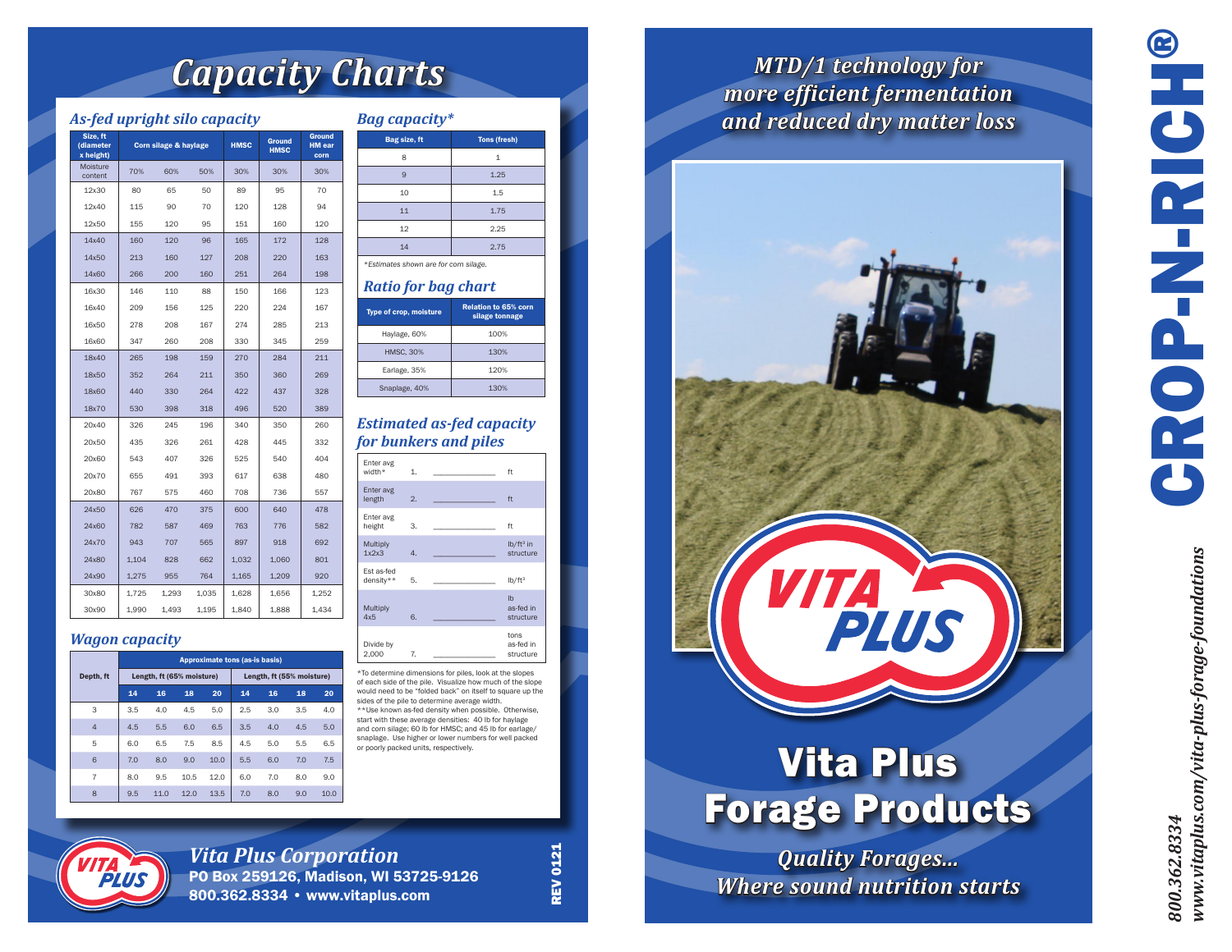# *Capacity Charts*

## *As-fed upright silo capacity*

| Size, ft<br>(diameter<br>x height) | Corn silage & haylage |       |       | <b>HMSC</b> | <b>Ground</b><br><b>HMSC</b> | <b>Ground</b><br><b>HM</b> ear<br>corn |
|------------------------------------|-----------------------|-------|-------|-------------|------------------------------|----------------------------------------|
| Moisture<br>content                | 70%                   | 60%   | 50%   | 30%         | 30%                          | 30%                                    |
| 12x30                              | 80                    | 65    | 50    | 89          | 95                           | 70                                     |
| 12x40                              | 115                   | 90    | 70    | 120         | 128                          | 94                                     |
| 12x50                              | 155                   | 120   | 95    | 151         | 160                          | 120                                    |
| 14x40                              | 160                   | 120   | 96    | 165         | 172                          | 128                                    |
| 14x50                              | 213                   | 160   | 127   | 208         | 220                          | 163                                    |
| 14x60                              | 266                   | 200   | 160   | 251         | 264                          | 198                                    |
| 16x30                              | 146                   | 110   | 88    | 150         | 166                          | 123                                    |
| 16x40                              | 209                   | 156   | 125   | 220         | 224                          | 167                                    |
| 16x50                              | 278                   | 208   | 167   | 274         | 285                          | 213                                    |
| 16x60                              | 347                   | 260   | 208   | 330         | 345                          | 259                                    |
| 18x40                              | 265                   | 198   | 159   | 270         | 284                          | 211                                    |
| 18x50                              | 352                   | 264   | 211   | 350         | 360                          | 269                                    |
| 18x60                              | 440                   | 330   | 264   | 422         | 437                          | 328                                    |
| 18x70                              | 530                   | 398   | 318   | 496         | 520                          | 389                                    |
| 20x40                              | 326                   | 245   | 196   | 340         | 350                          | 260                                    |
| 20x50                              | 435                   | 326   | 261   | 428         | 445                          | 332                                    |
| 20x60                              | 543                   | 407   | 326   | 525         | 540                          | 404                                    |
| 20x70                              | 655                   | 491   | 393   | 617         | 638                          | 480                                    |
| 20x80                              | 767                   | 575   | 460   | 708         | 736                          | 557                                    |
| 24x50                              | 626                   | 470   | 375   | 600         | 640                          | 478                                    |
| 24x60                              | 782                   | 587   | 469   | 763         | 776                          | 582                                    |
| 24x70                              | 943                   | 707   | 565   | 897         | 918                          | 692                                    |
| 24x80                              | 1,104                 | 828   | 662   | 1,032       | 1,060                        | 801                                    |
| 24x90                              | 1,275                 | 955   | 764   | 1,165       | 1,209                        | 920                                    |
| 30x80                              | 1,725                 | 1,293 | 1,035 | 1,628       | 1,656                        | 1,252                                  |
| 30x90                              | 1,990                 | 1,493 | 1,195 | 1,840       | 1,888                        | 1,434                                  |

#### *Wagon capacity*

|                | <b>Approximate tons (as-is basis)</b> |      |      |                           |     |     |     |      |
|----------------|---------------------------------------|------|------|---------------------------|-----|-----|-----|------|
| Depth, ft      | Length, ft (65% moisture)             |      |      | Length, ft (55% moisture) |     |     |     |      |
|                | 14                                    | 16   | 18   | 20                        | 14  | 16  | 18  | 20   |
| 3              | 3.5                                   | 4.0  | 4.5  | 5.0                       | 2.5 | 3.0 | 3.5 | 4.0  |
| $\overline{4}$ | 4.5                                   | 5.5  | 6.0  | 6.5                       | 3.5 | 4.0 | 4.5 | 5.0  |
| 5              | 6.0                                   | 6.5  | 7.5  | 8.5                       | 4.5 | 5.0 | 5.5 | 6.5  |
| 6              | 7.0                                   | 8.0  | 9.0  | 10.0                      | 5.5 | 6.0 | 7.0 | 7.5  |
| $\overline{7}$ | 8.0                                   | 9.5  | 10.5 | 12.0                      | 6.0 | 7.0 | 8.0 | 9.0  |
| 8              | 9.5                                   | 11.0 | 12.0 | 13.5                      | 7.0 | 8.0 | 9.0 | 10.0 |
|                |                                       |      |      |                           |     |     |     |      |

### *Bag capacity\**

| Bag size, ft                          | <b>Tons (fresh)</b> |  |  |
|---------------------------------------|---------------------|--|--|
| 8                                     | 1                   |  |  |
| 9                                     | 1.25                |  |  |
| 10                                    | 1.5                 |  |  |
| 11                                    | 1.75                |  |  |
| 12                                    | 2.25                |  |  |
| 14                                    | 2.75                |  |  |
| *Estimates shown are for corn silage. |                     |  |  |
| Daniel Camello and all and            |                     |  |  |

#### *Ratio for bag chart*

| <b>Type of crop, moisture</b> | <b>Relation to 65% corn</b><br>silage tonnage |  |
|-------------------------------|-----------------------------------------------|--|
| Haylage, 60%                  | 100%                                          |  |
| <b>HMSC, 30%</b>              | 130%                                          |  |
| Earlage, 35%                  | 120%                                          |  |
| Snaplage, 40%                 | 130%                                          |  |
|                               |                                               |  |

### *Estimated as-fed capacity for bunkers and piles*

| Enter avg<br>width*     | 1.               | ft                                     |
|-------------------------|------------------|----------------------------------------|
| Enter avg<br>length     | 2.               | ft                                     |
| Enter avg<br>height     | 3.               | ft                                     |
| Multiply<br>1x2x3       | $\overline{4}$ . | $lb/ft^3$ in<br>structure              |
| Est as-fed<br>density** | 5.               | $lb/ft^3$                              |
| Multiply<br>4x5         | 6.               | $\mathsf{I}$<br>as-fed in<br>structure |
| Divide by<br>2,000      | 7.               | tons<br>as-fed in<br>structure         |

\*To determine dimensions for piles, look at the slopes of each side of the pile. Visualize how much of the slope would need to be "folded back" on itself to square up the sides of the pile to determine average width. \*\*Use known as-fed density when possible. Otherwise, start with these average densities: 40 lb for haylage and corn silage; 60 lb for HMSC; and 45 lb for earlage/ snaplage. Use higher or lower numbers for well packed or poorly packed units, respectively.

# *PLIIS*

*Vita Plus Corporation* PO Box 259126, Madison, WI 53725-9126 800.362.8334 • www.vitaplus.com

**REV 0121** REV 0121

# *MTD/1 technology for more efficient fermentation and reduced dry matter loss*



# Vita Plus Forage Products

*Quality Forages... Where sound nutrition starts*